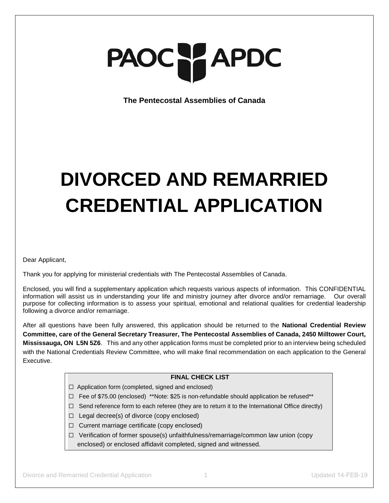# PAOC PAPDC

**The Pentecostal Assemblies of Canada**

# **DIVORCED AND REMARRIED CREDENTIAL APPLICATION**

Dear Applicant,

Thank you for applying for ministerial credentials with The Pentecostal Assemblies of Canada.

Enclosed, you will find a supplementary application which requests various aspects of information. This CONFIDENTIAL information will assist us in understanding your life and ministry journey after divorce and/or remarriage. Our overall purpose for collecting information is to assess your spiritual, emotional and relational qualities for credential leadership following a divorce and/or remarriage.

After all questions have been fully answered, this application should be returned to the **National Credential Review Committee, care of the General Secretary Treasurer, The Pentecostal Assemblies of Canada, 2450 Milltower Court, Mississauga, ON L5N 5Z6**. This and any other application forms must be completed prior to an interview being scheduled with the National Credentials Review Committee, who will make final recommendation on each application to the General Executive.

### **FINAL CHECK LIST**

- ☐ Application form (completed, signed and enclosed)
- ☐Fee of \$75.00 (enclosed) \*\*Note: \$25 is non-refundable should application be refused\*\*
- ☐Send reference form to each referee (they are to return it to the International Office directly)
- ☐Legal decree(s) of divorce (copy enclosed)
- ☐Current marriage certificate (copy enclosed)
- ☐Verification of former spouse(s) unfaithfulness/remarriage/common law union (copy enclosed) or enclosed affidavit completed, signed and witnessed.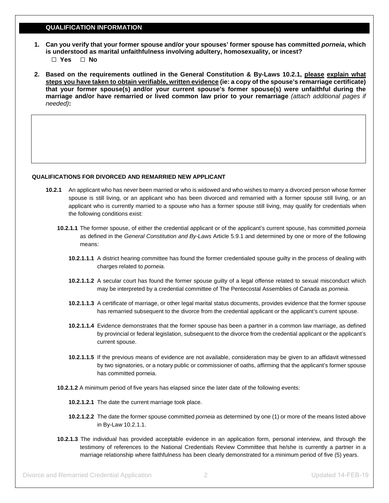#### **QUALIFICATION INFORMATION**

- **1. Can you verify that your former spouse and/or your spouses' former spouse has committed** *porneia***, which is understood as marital unfaithfulness involving adultery, homosexuality, or incest?** ☐ **Yes** ☐ **No**
- **2. Based on the requirements outlined in the General Constitution & By-Laws 10.2.1, please explain what steps you have taken to obtain verifiable, written evidence (ie: a copy of the spouse's remarriage certificate) that your former spouse(s) and/or your current spouse's former spouse(s) were unfaithful during the marriage and/or have remarried or lived common law prior to your remarriage** *(attach additional pages if needed)***:**

#### **QUALIFICATIONS FOR DIVORCED AND REMARRIED NEW APPLICANT**

- **10.2.1** An applicant who has never been married or who is widowed and who wishes to marry a divorced person whose former spouse is still living, or an applicant who has been divorced and remarried with a former spouse still living, or an applicant who is currently married to a spouse who has a former spouse still living, may qualify for credentials when the following conditions exist:
	- **10.2.1.1** The former spouse, of either the credential applicant or of the applicant's current spouse, has committed *porneia* as defined in the *General Constitution and By-Laws* Article 5.9.1 and determined by one or more of the following means:
		- **10.2.1.1.1** A district hearing committee has found the former credentialed spouse guilty in the process of dealing with charges related to *porneia*.
		- **10.2.1.1.2** A secular court has found the former spouse guilty of a legal offense related to sexual misconduct which may be interpreted by a credential committee of The Pentecostal Assemblies of Canada as *porneia*.
		- **10.2.1.1.3** A certificate of marriage, or other legal marital status documents, provides evidence that the former spouse has remarried subsequent to the divorce from the credential applicant or the applicant's current spouse.
		- **10.2.1.1.4** Evidence demonstrates that the former spouse has been a partner in a common law marriage, as defined by provincial or federal legislation, subsequent to the divorce from the credential applicant or the applicant's current spouse.
		- **10.2.1.1.5** If the previous means of evidence are not available, consideration may be given to an affidavit witnessed by two signatories, or a notary public or commissioner of oaths, affirming that the applicant's former spouse has committed porneia.
	- **10.2.1.2** A minimum period of five years has elapsed since the later date of the following events:
		- **10.2.1.2.1** The date the current marriage took place.
		- **10.2.1.2.2** The date the former spouse committed *porneia* as determined by one (1) or more of the means listed above in By-Law 10.2.1.1.
	- **10.2.1.3** The individual has provided acceptable evidence in an application form, personal interview, and through the testimony of references to the National Credentials Review Committee that he/she is currently a partner in a marriage relationship where faithfulness has been clearly demonstrated for a minimum period of five (5) years.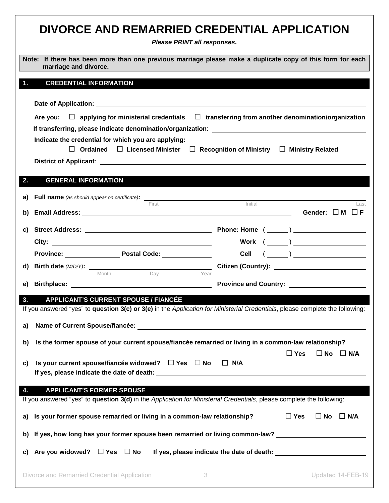|    | DIVORCE AND REMARRIED CREDENTIAL APPLICATION<br>Please PRINT all responses.                                                                                                                                                                                                  |                                       |
|----|------------------------------------------------------------------------------------------------------------------------------------------------------------------------------------------------------------------------------------------------------------------------------|---------------------------------------|
|    | Note: If there has been more than one previous marriage please make a duplicate copy of this form for each<br>marriage and divorce.                                                                                                                                          |                                       |
|    | <b>CREDENTIAL INFORMATION</b>                                                                                                                                                                                                                                                |                                       |
|    | Are you: $\Box$ applying for ministerial credentials $\Box$ transferring from another denomination/organization<br>Indicate the credential for which you are applying:<br>Ordained $\Box$ Licensed Minister $\Box$ Recognition of Ministry $\Box$ Ministry Related<br>$\Box$ |                                       |
|    |                                                                                                                                                                                                                                                                              |                                       |
| 2. | <b>GENERAL INFORMATION</b>                                                                                                                                                                                                                                                   |                                       |
| a) | Full name (as should appear on certificate): ___________________________________<br>First                                                                                                                                                                                    | Initial<br>Last                       |
| b) |                                                                                                                                                                                                                                                                              | Gender: $\Box$ M $\Box$ F             |
|    |                                                                                                                                                                                                                                                                              |                                       |
|    |                                                                                                                                                                                                                                                                              | Work $(\_\_)$                         |
|    |                                                                                                                                                                                                                                                                              |                                       |
|    | <b>d) Birth date (M/D/Y):</b> $\frac{1}{\text{Month}}$ Day Year                                                                                                                                                                                                              |                                       |
| e) |                                                                                                                                                                                                                                                                              |                                       |
| 3. | <b>APPLICANT'S CURRENT SPOUSE / FIANCÉE</b><br>If you answered "yes" to question 3(c) or 3(e) in the Application for Ministerial Credentials, please complete the following:                                                                                                 |                                       |
| a) | Name of Current Spouse/fiancée:<br>Mame of Current Spouse/fiancée:                                                                                                                                                                                                           |                                       |
|    |                                                                                                                                                                                                                                                                              |                                       |
| b) | Is the former spouse of your current spouse/fiancée remarried or living in a common-law relationship?                                                                                                                                                                        | $\square$ Yes<br>$\Box$ No $\Box$ N/A |
| C) | Is your current spouse/fiancée widowed? $\Box$ Yes $\Box$ No                                                                                                                                                                                                                 | $\Box$ N/A                            |
| 4. | <b>APPLICANT'S FORMER SPOUSE</b><br>If you answered "yes" to question 3(d) in the Application for Ministerial Credentials, please complete the following:                                                                                                                    |                                       |
|    | a) Is your former spouse remarried or living in a common-law relationship?                                                                                                                                                                                                   | $\square$ Yes<br>$\Box$ No $\Box$ N/A |
|    | b) If yes, how long has your former spouse been remarried or living common-law? ____________________                                                                                                                                                                         |                                       |
| C) |                                                                                                                                                                                                                                                                              |                                       |
|    | Divorce and Remarried Credential Application<br>3                                                                                                                                                                                                                            | Updated 14-FEB-19                     |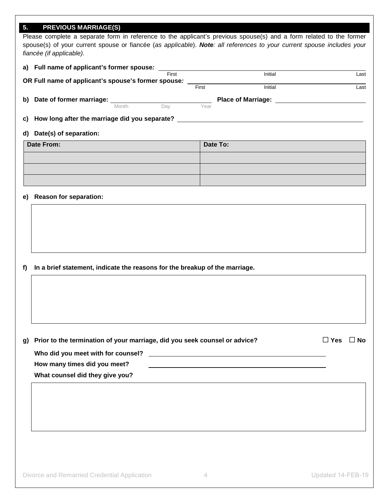# **5. PREVIOUS MARRIAGE(S)**

Please complete a separate form in reference to the applicant's previous spouse(s) and a form related to the former spouse(s) of your current spouse or fiancée (*as applicable*). *Note: all references to your current spouse includes your fiancée (if applicable).*

**a) Full name of applicant's former spouse***:*

|     | OR Full name of applicant's spouse's former spouse: |       | First |       | Initial                   | Last |
|-----|-----------------------------------------------------|-------|-------|-------|---------------------------|------|
|     |                                                     |       |       | First | Initial                   | Last |
| b). | Date of former marriage:                            |       |       |       | <b>Place of Marriage:</b> |      |
|     |                                                     | Month | Dav   | Year  |                           |      |
| C)  | How long after the marriage did you separate?       |       |       |       |                           |      |

#### **d) Date(s) of separation:**

| Date From: | Date To: |
|------------|----------|
|            |          |
|            |          |
|            |          |

#### **e) Reason for separation:**

**f) In a brief statement, indicate the reasons for the breakup of the marriage.**

| g) Prior to the termination of your marriage, did you seek counsel or advice? | $\Box$ Yes $\Box$ No |  |
|-------------------------------------------------------------------------------|----------------------|--|

**Who did you meet with for counsel?**

**How many times did you meet?**

**What counsel did they give you?**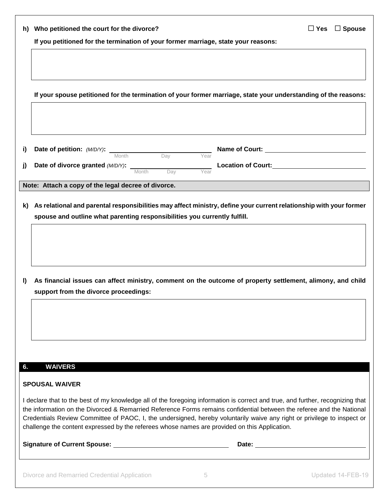|              | h) Who petitioned the court for the divorce?<br>$\Box$ Yes<br>$\square$ Spouse                                                                                                                                                                   |
|--------------|--------------------------------------------------------------------------------------------------------------------------------------------------------------------------------------------------------------------------------------------------|
|              | If you petitioned for the termination of your former marriage, state your reasons:                                                                                                                                                               |
|              |                                                                                                                                                                                                                                                  |
|              |                                                                                                                                                                                                                                                  |
|              | If your spouse petitioned for the termination of your former marriage, state your understanding of the reasons:                                                                                                                                  |
|              |                                                                                                                                                                                                                                                  |
|              |                                                                                                                                                                                                                                                  |
|              |                                                                                                                                                                                                                                                  |
| i)           | <b>Date of petition:</b> $(M/D/Y)$ : $\frac{1}{2}$ Month $\frac{1}{2}$ Day Year                                                                                                                                                                  |
| j)           | <b>Date of divorce granted (M/D/Y):</b> Month Day Year<br>Location of Court:<br><u>Location of Court:</u>                                                                                                                                        |
|              | Note: Attach a copy of the legal decree of divorce.                                                                                                                                                                                              |
| K)           | As relational and parental responsibilities may affect ministry, define your current relationship with your former                                                                                                                               |
|              | spouse and outline what parenting responsibilities you currently fulfill.                                                                                                                                                                        |
|              |                                                                                                                                                                                                                                                  |
|              |                                                                                                                                                                                                                                                  |
|              |                                                                                                                                                                                                                                                  |
|              |                                                                                                                                                                                                                                                  |
| <sup>1</sup> | As financial issues can affect ministry, comment on the outcome of property settlement, alimony, and child<br>support from the divorce proceedings:                                                                                              |
|              |                                                                                                                                                                                                                                                  |
|              |                                                                                                                                                                                                                                                  |
|              |                                                                                                                                                                                                                                                  |
|              |                                                                                                                                                                                                                                                  |
|              |                                                                                                                                                                                                                                                  |
| 6.           | <b>WAIVERS</b>                                                                                                                                                                                                                                   |
|              | <b>SPOUSAL WAIVER</b>                                                                                                                                                                                                                            |
|              | I declare that to the best of my knowledge all of the foregoing information is correct and true, and further, recognizing that                                                                                                                   |
|              | the information on the Divorced & Remarried Reference Forms remains confidential between the referee and the National<br>Credentials Review Committee of PAOC, I, the undersigned, hereby voluntarily waive any right or privilege to inspect or |
|              | challenge the content expressed by the referees whose names are provided on this Application.                                                                                                                                                    |
|              |                                                                                                                                                                                                                                                  |
|              |                                                                                                                                                                                                                                                  |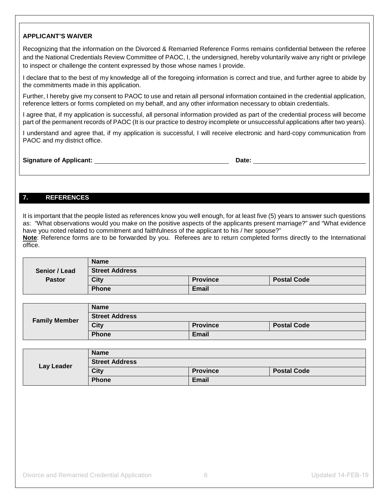# **APPLICANT'S WAIVER**

Recognizing that the information on the Divorced & Remarried Reference Forms remains confidential between the referee and the National Credentials Review Committee of PAOC, I, the undersigned, hereby voluntarily waive any right or privilege to inspect or challenge the content expressed by those whose names I provide.

I declare that to the best of my knowledge all of the foregoing information is correct and true, and further agree to abide by the commitments made in this application.

Further, I hereby give my consent to PAOC to use and retain all personal information contained in the credential application, reference letters or forms completed on my behalf, and any other information necessary to obtain credentials.

I agree that, if my application is successful, all personal information provided as part of the credential process will become part of the permanent records of PAOC (It is our practice to destroy incomplete or unsuccessful applications after two years).

I understand and agree that, if my application is successful, I will receive electronic and hard-copy communication from PAOC and my district office.

**Signature of Applicant:** <u>Date: **Date: Date: Date: Date: Date: Date: Date: Date: Date: Date: Date: Date: Date: Date: Date: Date: Date: Date: Date: Date: Date: Date: Date: Date</u>** 

# **7. REFERENCES**

It is important that the people listed as references know you well enough, for at least five (5) years to answer such questions as: "What observations would you make on the positive aspects of the applicants present marriage?" and "What evidence have you noted related to commitment and faithfulness of the applicant to his / her spouse?" **Note**: Reference forms are to be forwarded by you. Referees are to return completed forms directly to the International office.

|               | <b>Name</b>           |                 |                    |
|---------------|-----------------------|-----------------|--------------------|
| Senior / Lead | <b>Street Address</b> |                 |                    |
| <b>Pastor</b> | <b>City</b>           | <b>Province</b> | <b>Postal Code</b> |
|               | <b>Phone</b>          | <b>Email</b>    |                    |

|                      | <b>Name</b>           |                 |                    |
|----------------------|-----------------------|-----------------|--------------------|
| <b>Family Member</b> | <b>Street Address</b> |                 |                    |
|                      | City                  | <b>Province</b> | <b>Postal Code</b> |
|                      | <b>Phone</b>          | <b>Email</b>    |                    |

|            | <b>Name</b>           |                 |                    |
|------------|-----------------------|-----------------|--------------------|
| Lay Leader | <b>Street Address</b> |                 |                    |
|            | <b>City</b>           | <b>Province</b> | <b>Postal Code</b> |
|            | <b>Phone</b>          | <b>Email</b>    |                    |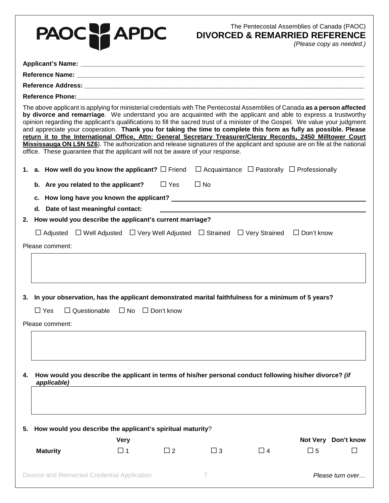| PAOC TAPDC                                                                                                                                                                                                                                                                                                                                                                                                                                                                                                                                                                                                                                                                                                                                                                                                                           |             |                   |                                                             | The Pentecostal Assemblies of Canada (PAOC)<br><b>DIVORCED &amp; REMARRIED REFERENCE</b> |             | (Please copy as needed.) |
|--------------------------------------------------------------------------------------------------------------------------------------------------------------------------------------------------------------------------------------------------------------------------------------------------------------------------------------------------------------------------------------------------------------------------------------------------------------------------------------------------------------------------------------------------------------------------------------------------------------------------------------------------------------------------------------------------------------------------------------------------------------------------------------------------------------------------------------|-------------|-------------------|-------------------------------------------------------------|------------------------------------------------------------------------------------------|-------------|--------------------------|
|                                                                                                                                                                                                                                                                                                                                                                                                                                                                                                                                                                                                                                                                                                                                                                                                                                      |             |                   |                                                             |                                                                                          |             |                          |
|                                                                                                                                                                                                                                                                                                                                                                                                                                                                                                                                                                                                                                                                                                                                                                                                                                      |             |                   |                                                             |                                                                                          |             |                          |
|                                                                                                                                                                                                                                                                                                                                                                                                                                                                                                                                                                                                                                                                                                                                                                                                                                      |             |                   |                                                             |                                                                                          |             |                          |
|                                                                                                                                                                                                                                                                                                                                                                                                                                                                                                                                                                                                                                                                                                                                                                                                                                      |             |                   |                                                             |                                                                                          |             |                          |
| The above applicant is applying for ministerial credentials with The Pentecostal Assemblies of Canada as a person affected<br>by divorce and remarriage. We understand you are acquainted with the applicant and able to express a trustworthy<br>opinion regarding the applicant's qualifications to fill the sacred trust of a minister of the Gospel. We value your judgment<br>and appreciate your cooperation. Thank you for taking the time to complete this form as fully as possible. Please<br>return it to the International Office, Attn: General Secretary Treasurer/Clergy Records, 2450 Milltower Court<br>Mississauga ON L5N 5Z6). The authorization and release signatures of the applicant and spouse are on file at the national<br>office. These guarantee that the applicant will not be aware of your response. |             |                   |                                                             |                                                                                          |             |                          |
| 1. a. How well do you know the applicant? $\Box$ Friend                                                                                                                                                                                                                                                                                                                                                                                                                                                                                                                                                                                                                                                                                                                                                                              |             |                   | $\Box$ Acquaintance $\Box$ Pastorally $\Box$ Professionally |                                                                                          |             |                          |
| b. Are you related to the applicant?                                                                                                                                                                                                                                                                                                                                                                                                                                                                                                                                                                                                                                                                                                                                                                                                 |             | $\square$ Yes     | $\Box$ No                                                   |                                                                                          |             |                          |
|                                                                                                                                                                                                                                                                                                                                                                                                                                                                                                                                                                                                                                                                                                                                                                                                                                      |             |                   |                                                             |                                                                                          |             |                          |
| d. Date of last meaningful contact:                                                                                                                                                                                                                                                                                                                                                                                                                                                                                                                                                                                                                                                                                                                                                                                                  |             |                   |                                                             |                                                                                          |             |                          |
| 2. How would you describe the applicant's current marriage?                                                                                                                                                                                                                                                                                                                                                                                                                                                                                                                                                                                                                                                                                                                                                                          |             |                   |                                                             |                                                                                          |             |                          |
| $\Box$ Adjusted $\Box$ Well Adjusted $\Box$ Very Well Adjusted $\Box$ Strained $\Box$ Very Strained $\Box$ Don't know                                                                                                                                                                                                                                                                                                                                                                                                                                                                                                                                                                                                                                                                                                                |             |                   |                                                             |                                                                                          |             |                          |
| Please comment:                                                                                                                                                                                                                                                                                                                                                                                                                                                                                                                                                                                                                                                                                                                                                                                                                      |             |                   |                                                             |                                                                                          |             |                          |
|                                                                                                                                                                                                                                                                                                                                                                                                                                                                                                                                                                                                                                                                                                                                                                                                                                      |             |                   |                                                             |                                                                                          |             |                          |
| 3. In your observation, has the applicant demonstrated marital faithfulness for a minimum of 5 years?                                                                                                                                                                                                                                                                                                                                                                                                                                                                                                                                                                                                                                                                                                                                |             |                   |                                                             |                                                                                          |             |                          |
| $\Box$ Questionable<br>$\Box$ Yes                                                                                                                                                                                                                                                                                                                                                                                                                                                                                                                                                                                                                                                                                                                                                                                                    | $\Box$ No   | $\Box$ Don't know |                                                             |                                                                                          |             |                          |
| Please comment:                                                                                                                                                                                                                                                                                                                                                                                                                                                                                                                                                                                                                                                                                                                                                                                                                      |             |                   |                                                             |                                                                                          |             |                          |
|                                                                                                                                                                                                                                                                                                                                                                                                                                                                                                                                                                                                                                                                                                                                                                                                                                      |             |                   |                                                             |                                                                                          |             |                          |
| How would you describe the applicant in terms of his/her personal conduct following his/her divorce? (if<br>4.<br>applicable)                                                                                                                                                                                                                                                                                                                                                                                                                                                                                                                                                                                                                                                                                                        |             |                   |                                                             |                                                                                          |             |                          |
| How would you describe the applicant's spiritual maturity?<br>5.                                                                                                                                                                                                                                                                                                                                                                                                                                                                                                                                                                                                                                                                                                                                                                     | <b>Very</b> |                   |                                                             |                                                                                          |             | Not Very Don't know      |
| <b>Maturity</b>                                                                                                                                                                                                                                                                                                                                                                                                                                                                                                                                                                                                                                                                                                                                                                                                                      | $\Box$ 1    | $\Box$ 2          | $\Box$ 3                                                    | $\Box$ 4                                                                                 | $\square$ 5 | ΙI                       |
| Divorce and Remarried Credential Application                                                                                                                                                                                                                                                                                                                                                                                                                                                                                                                                                                                                                                                                                                                                                                                         |             |                   | 7.                                                          |                                                                                          |             | Please turn over         |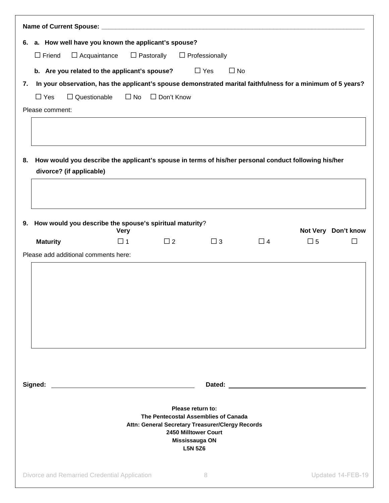| 6. a. How well have you known the applicant's spouse?                                                                                  |                                          |              |                                                                                                                                                                           |          |             |                     |
|----------------------------------------------------------------------------------------------------------------------------------------|------------------------------------------|--------------|---------------------------------------------------------------------------------------------------------------------------------------------------------------------------|----------|-------------|---------------------|
| $\Box$ Friend                                                                                                                          | $\Box$ Pastorally<br>$\Box$ Acquaintance |              | $\Box$ Professionally                                                                                                                                                     |          |             |                     |
| b. Are you related to the applicant's spouse?                                                                                          |                                          |              | $\Box$ Yes<br>$\Box$ No                                                                                                                                                   |          |             |                     |
| In your observation, has the applicant's spouse demonstrated marital faithfulness for a minimum of 5 years?<br>7.                      |                                          |              |                                                                                                                                                                           |          |             |                     |
| $\Box$ Questionable<br>$\Box$ Yes                                                                                                      | $\Box$ No                                | □ Don't Know |                                                                                                                                                                           |          |             |                     |
| Please comment:                                                                                                                        |                                          |              |                                                                                                                                                                           |          |             |                     |
| How would you describe the applicant's spouse in terms of his/her personal conduct following his/her<br>8.<br>divorce? (if applicable) |                                          |              |                                                                                                                                                                           |          |             |                     |
|                                                                                                                                        |                                          |              |                                                                                                                                                                           |          |             |                     |
| 9. How would you describe the spouse's spiritual maturity?                                                                             | <b>Very</b>                              |              |                                                                                                                                                                           |          |             | Not Very Don't know |
| <b>Maturity</b>                                                                                                                        | $\Box$ 1                                 | $\Box$ 2     | $\Box$ 3                                                                                                                                                                  | $\Box$ 4 | $\square$ 5 |                     |
| Please add additional comments here:                                                                                                   |                                          |              |                                                                                                                                                                           |          |             |                     |
| Signed:                                                                                                                                |                                          |              | Please return to:<br>The Pentecostal Assemblies of Canada<br>Attn: General Secretary Treasurer/Clergy Records<br>2450 Milltower Court<br>Mississauga ON<br><b>L5N 5Z6</b> |          |             |                     |
|                                                                                                                                        |                                          |              |                                                                                                                                                                           |          |             |                     |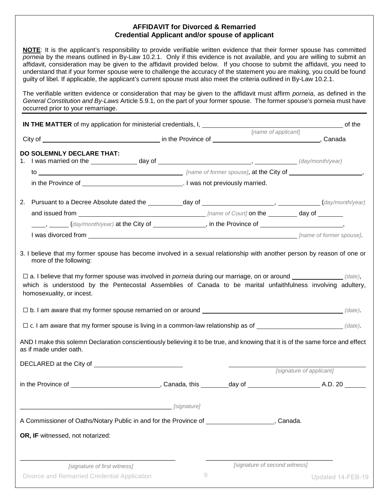# **AFFIDAVIT for Divorced & Remarried Credential Applicant and/or spouse of applicant**

**NOTE**: It is the applicant's responsibility to provide verifiable written evidence that their former spouse has committed *porneia* by the means outlined in By-Law 10.2.1. Only if this evidence is not available, and you are willing to submit an affidavit, consideration may be given to the affidavit provided below. If you choose to submit the affidavit, you need to understand that if your former spouse were to challenge the accuracy of the statement you are making, you could be found guilty of libel. If applicable, the applicant's current spouse must also meet the criteria outlined in By-Law 10.2.1.

The verifiable written evidence or consideration that may be given to the affidavit must affirm *porneia*, as defined in the *General Constitution and By-Laws* Article 5.9.1*,* on the part of your former spouse. The former spouse's porneia must have occurred prior to your remarriage.

|                                                                                                                                                           |                                                                                                | [name of applicant]           |                          |
|-----------------------------------------------------------------------------------------------------------------------------------------------------------|------------------------------------------------------------------------------------------------|-------------------------------|--------------------------|
| <b>DO SOLEMNLY DECLARE THAT:</b>                                                                                                                          |                                                                                                |                               |                          |
|                                                                                                                                                           |                                                                                                |                               |                          |
|                                                                                                                                                           |                                                                                                |                               |                          |
| 2. Pursuant to a Decree Absolute dated the ___________day of ____________________, ___________(day/month/year)                                            |                                                                                                |                               |                          |
|                                                                                                                                                           |                                                                                                |                               |                          |
| (day/month/year) at the City of _____________, in the Province of _______________,                                                                        |                                                                                                |                               |                          |
|                                                                                                                                                           |                                                                                                |                               |                          |
|                                                                                                                                                           |                                                                                                |                               |                          |
| AND I make this solemn Declaration conscientiously believing it to be true, and knowing that it is of the same force and effect<br>as if made under oath. | $\Box$ c. I am aware that my former spouse is living in a common-law relationship as of $\Box$ |                               |                          |
|                                                                                                                                                           |                                                                                                |                               |                          |
|                                                                                                                                                           |                                                                                                |                               | [signature of applicant] |
|                                                                                                                                                           |                                                                                                |                               |                          |
|                                                                                                                                                           | [signature]                                                                                    |                               |                          |
| A Commissioner of Oaths/Notary Public in and for the Province of <b>construents</b> [Canada.                                                              |                                                                                                |                               |                          |
| OR, IF witnessed, not notarized:                                                                                                                          |                                                                                                |                               |                          |
| [signature of first witness]                                                                                                                              |                                                                                                | [signature of second witness] |                          |